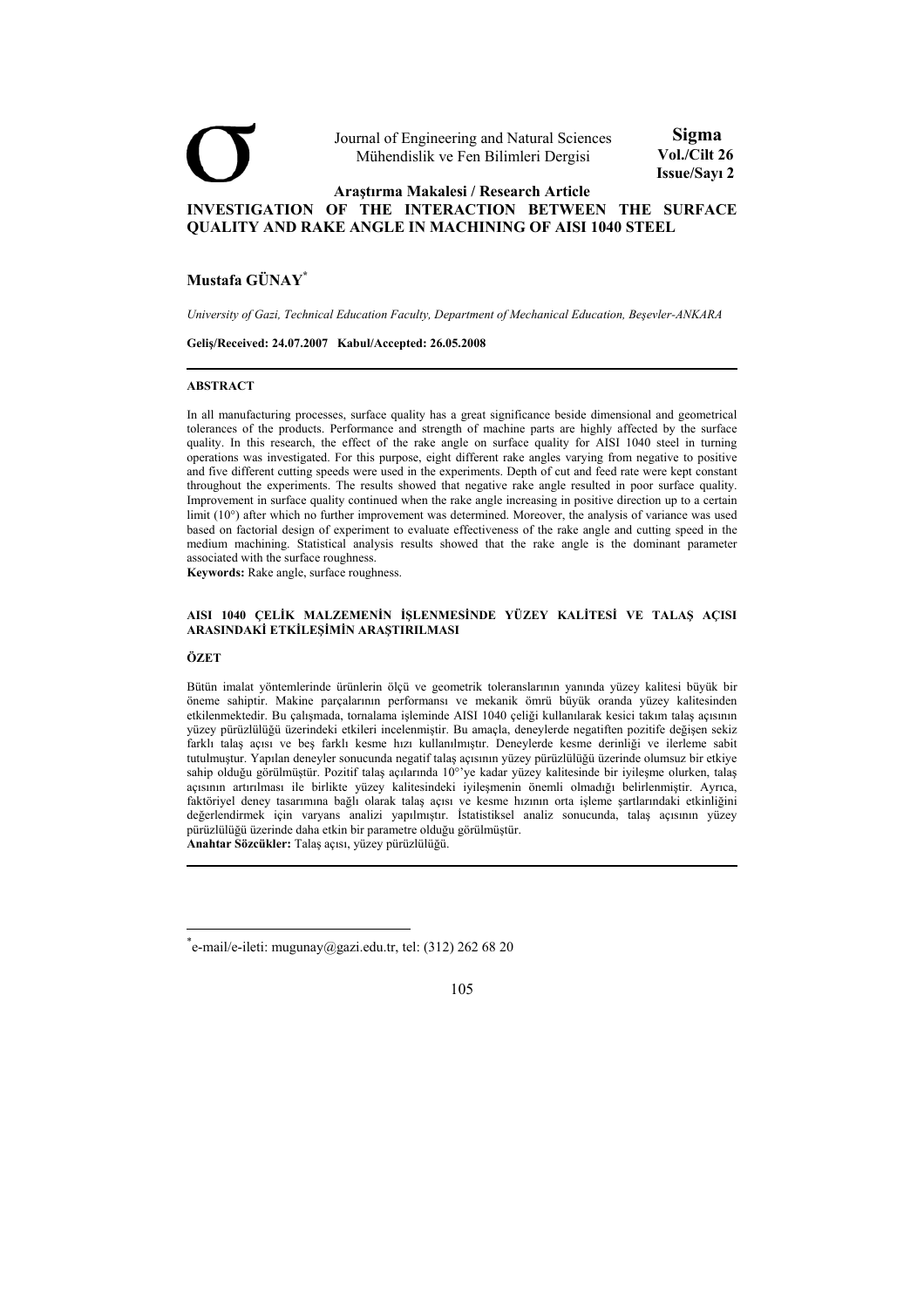

# **Mustafa GÜNAY\***

*University of Gazi, Technical Education Faculty, Department of Mechanical Education, Beşevler-ANKARA* 

**Geliş/Received: 24.07.2007 Kabul/Accepted: 26.05.2008** 

#### **ABSTRACT**

In all manufacturing processes, surface quality has a great significance beside dimensional and geometrical tolerances of the products. Performance and strength of machine parts are highly affected by the surface quality. In this research, the effect of the rake angle on surface quality for AISI 1040 steel in turning operations was investigated. For this purpose, eight different rake angles varying from negative to positive and five different cutting speeds were used in the experiments. Depth of cut and feed rate were kept constant throughout the experiments. The results showed that negative rake angle resulted in poor surface quality. Improvement in surface quality continued when the rake angle increasing in positive direction up to a certain limit (10°) after which no further improvement was determined. Moreover, the analysis of variance was used based on factorial design of experiment to evaluate effectiveness of the rake angle and cutting speed in the medium machining. Statistical analysis results showed that the rake angle is the dominant parameter associated with the surface roughness.

**Keywords:** Rake angle, surface roughness.

#### **AISI 1040 ÇELİK MALZEMENİN İŞLENMESİNDE YÜZEY KALİTESİ VE TALAŞ AÇISI ARASINDAKİ ETKİLEŞİMİN ARAŞTIRILMASI**

## **ÖZET**

Bütün imalat yöntemlerinde ürünlerin ölçü ve geometrik toleranslarının yanında yüzey kalitesi büyük bir öneme sahiptir. Makine parçalarının performansı ve mekanik ömrü büyük oranda yüzey kalitesinden etkilenmektedir. Bu çalışmada, tornalama işleminde AISI 1040 çeliği kullanılarak kesici takım talaş açısının yüzey pürüzlülüğü üzerindeki etkileri incelenmiştir. Bu amaçla, deneylerde negatiften pozitife değişen sekiz farklı talaş açısı ve beş farklı kesme hızı kullanılmıştır. Deneylerde kesme derinliği ve ilerleme sabit tutulmuştur. Yapılan deneyler sonucunda negatif talaş açısının yüzey pürüzlülüğü üzerinde olumsuz bir etkiye sahip olduğu görülmüştür. Pozitif talaş açılarında 10°'ye kadar yüzey kalitesinde bir iyileşme olurken, talaş açısının artırılması ile birlikte yüzey kalitesindeki iyileşmenin önemli olmadığı belirlenmiştir. Ayrıca, faktöriyel deney tasarımına bağlı olarak talaş açısı ve kesme hızının orta işleme şartlarındaki etkinliğini değerlendirmek için varyans analizi yapılmıştır. İstatistiksel analiz sonucunda, talaş açısının yüzey pürüzlülüğü üzerinde daha etkin bir parametre olduğu görülmüştür.

**Anahtar Sözcükler:** Talaş açısı, yüzey pürüzlülüğü.

<sup>\*</sup> e-mail/e-ileti: mugunay@gazi.edu.tr, tel: (312) 262 68 20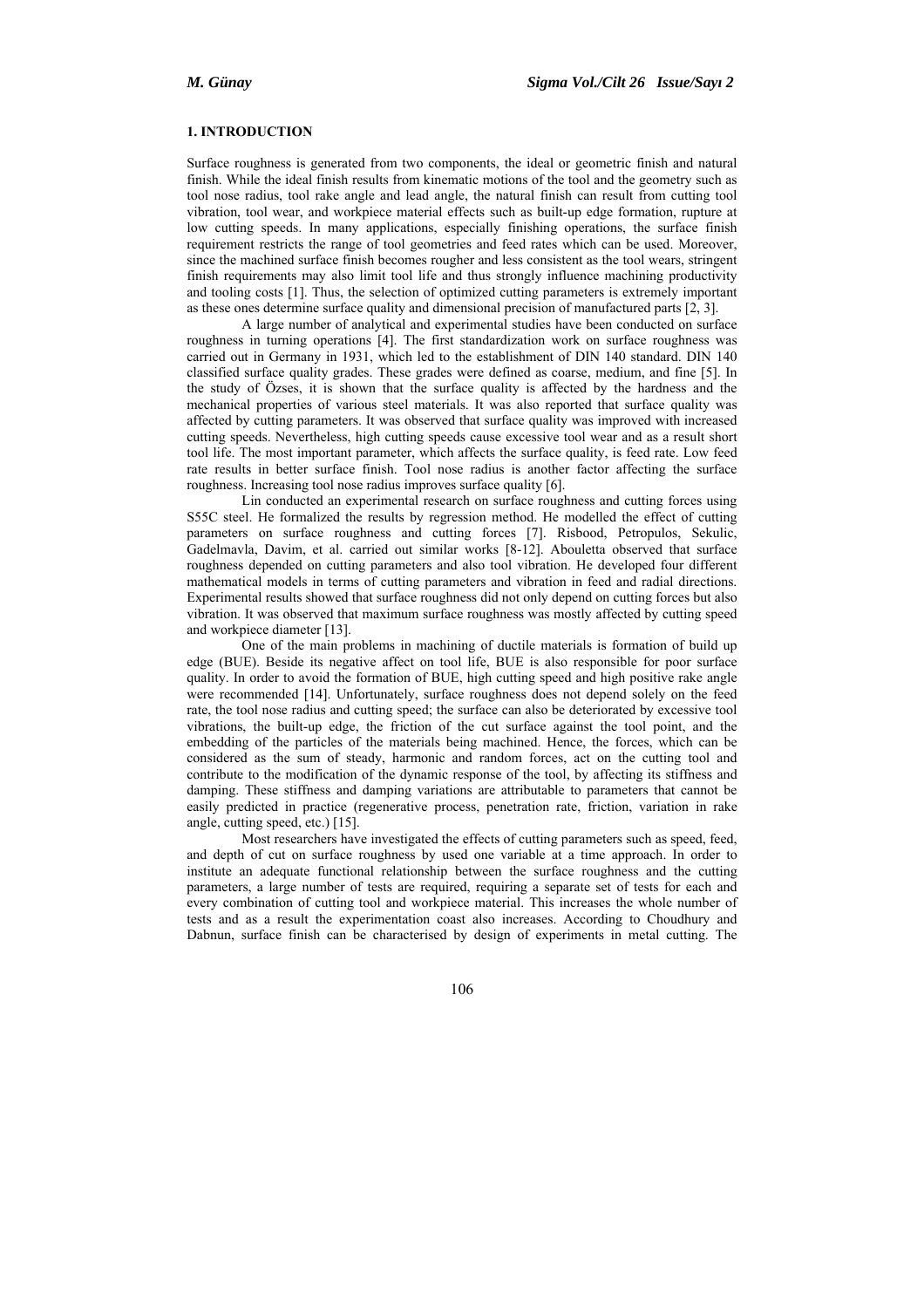# **1. INTRODUCTION**

Surface roughness is generated from two components, the ideal or geometric finish and natural finish. While the ideal finish results from kinematic motions of the tool and the geometry such as tool nose radius, tool rake angle and lead angle, the natural finish can result from cutting tool vibration, tool wear, and workpiece material effects such as built-up edge formation, rupture at low cutting speeds. In many applications, especially finishing operations, the surface finish requirement restricts the range of tool geometries and feed rates which can be used. Moreover, since the machined surface finish becomes rougher and less consistent as the tool wears, stringent finish requirements may also limit tool life and thus strongly influence machining productivity and tooling costs [1]. Thus, the selection of optimized cutting parameters is extremely important as these ones determine surface quality and dimensional precision of manufactured parts [2, 3].

A large number of analytical and experimental studies have been conducted on surface roughness in turning operations [4]. The first standardization work on surface roughness was carried out in Germany in 1931, which led to the establishment of DIN 140 standard. DIN 140 classified surface quality grades. These grades were defined as coarse, medium, and fine [5]. In the study of Özses, it is shown that the surface quality is affected by the hardness and the mechanical properties of various steel materials. It was also reported that surface quality was affected by cutting parameters. It was observed that surface quality was improved with increased cutting speeds. Nevertheless, high cutting speeds cause excessive tool wear and as a result short tool life. The most important parameter, which affects the surface quality, is feed rate. Low feed rate results in better surface finish. Tool nose radius is another factor affecting the surface roughness. Increasing tool nose radius improves surface quality [6].

Lin conducted an experimental research on surface roughness and cutting forces using S55C steel. He formalized the results by regression method. He modelled the effect of cutting parameters on surface roughness and cutting forces [7]. Risbood, Petropulos, Sekulic, Gadelmavla, Davim, et al. carried out similar works [8-12]. Abouletta observed that surface roughness depended on cutting parameters and also tool vibration. He developed four different mathematical models in terms of cutting parameters and vibration in feed and radial directions. Experimental results showed that surface roughness did not only depend on cutting forces but also vibration. It was observed that maximum surface roughness was mostly affected by cutting speed and workpiece diameter [13].

One of the main problems in machining of ductile materials is formation of build up edge (BUE). Beside its negative affect on tool life, BUE is also responsible for poor surface quality. In order to avoid the formation of BUE, high cutting speed and high positive rake angle were recommended [14]. Unfortunately, surface roughness does not depend solely on the feed rate, the tool nose radius and cutting speed; the surface can also be deteriorated by excessive tool vibrations, the built-up edge, the friction of the cut surface against the tool point, and the embedding of the particles of the materials being machined. Hence, the forces, which can be considered as the sum of steady, harmonic and random forces, act on the cutting tool and contribute to the modification of the dynamic response of the tool, by affecting its stiffness and damping. These stiffness and damping variations are attributable to parameters that cannot be easily predicted in practice (regenerative process, penetration rate, friction, variation in rake angle, cutting speed, etc.) [15].

Most researchers have investigated the effects of cutting parameters such as speed, feed, and depth of cut on surface roughness by used one variable at a time approach. In order to institute an adequate functional relationship between the surface roughness and the cutting parameters, a large number of tests are required, requiring a separate set of tests for each and every combination of cutting tool and workpiece material. This increases the whole number of tests and as a result the experimentation coast also increases. According to Choudhury and Dabnun, surface finish can be characterised by design of experiments in metal cutting. The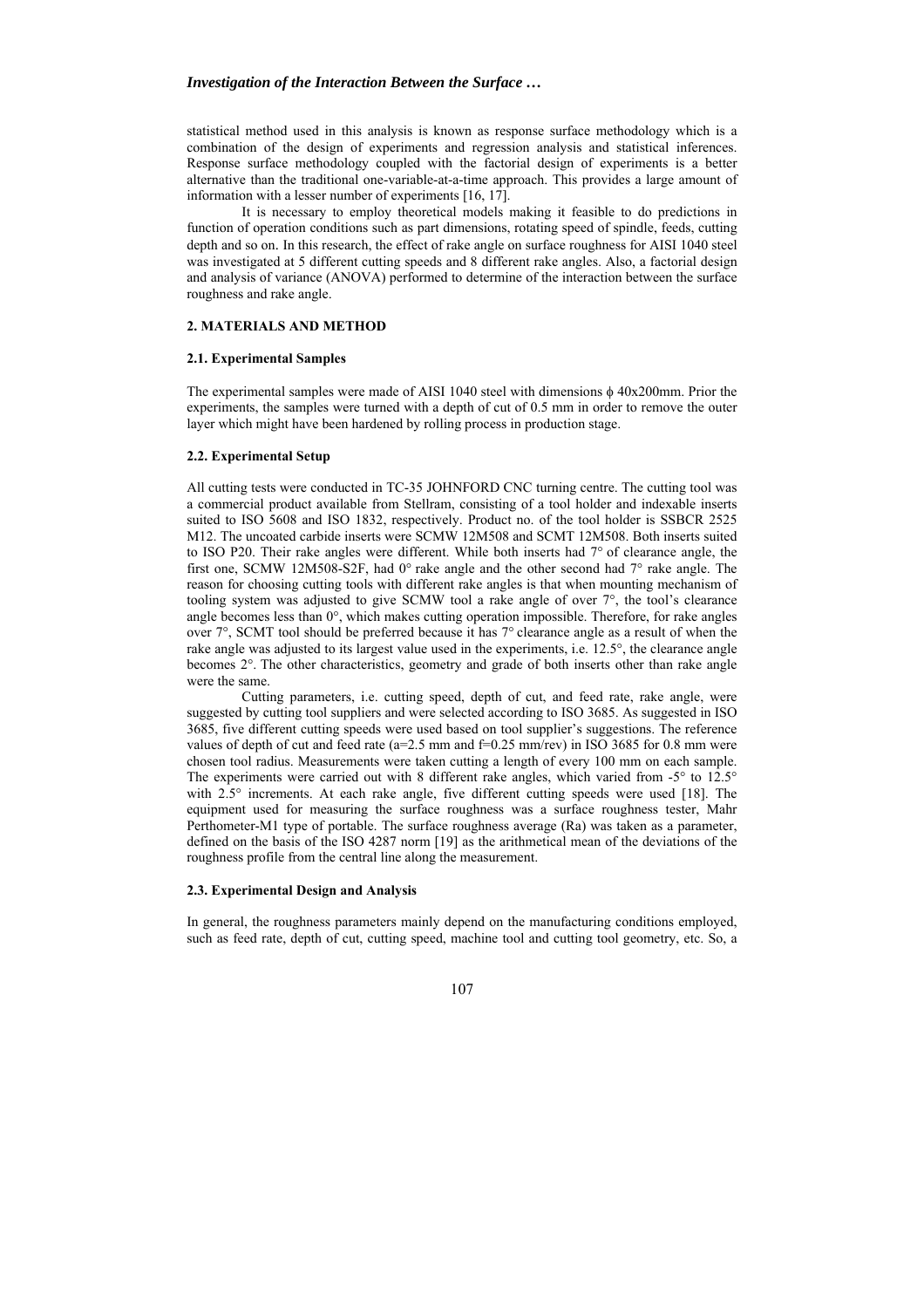statistical method used in this analysis is known as response surface methodology which is a combination of the design of experiments and regression analysis and statistical inferences. Response surface methodology coupled with the factorial design of experiments is a better alternative than the traditional one-variable-at-a-time approach. This provides a large amount of information with a lesser number of experiments [16, 17].

 It is necessary to employ theoretical models making it feasible to do predictions in function of operation conditions such as part dimensions, rotating speed of spindle, feeds, cutting depth and so on. In this research, the effect of rake angle on surface roughness for AISI 1040 steel was investigated at 5 different cutting speeds and 8 different rake angles. Also, a factorial design and analysis of variance (ANOVA) performed to determine of the interaction between the surface roughness and rake angle.

## **2. MATERIALS AND METHOD**

## **2.1. Experimental Samples**

The experimental samples were made of AISI 1040 steel with dimensions φ 40x200mm. Prior the experiments, the samples were turned with a depth of cut of 0.5 mm in order to remove the outer layer which might have been hardened by rolling process in production stage.

#### **2.2. Experimental Setup**

All cutting tests were conducted in TC-35 JOHNFORD CNC turning centre. The cutting tool was a commercial product available from Stellram, consisting of a tool holder and indexable inserts suited to ISO 5608 and ISO 1832, respectively. Product no. of the tool holder is SSBCR 2525 M12. The uncoated carbide inserts were SCMW 12M508 and SCMT 12M508. Both inserts suited to ISO P20. Their rake angles were different. While both inserts had  $7^\circ$  of clearance angle, the first one, SCMW 12M508-S2F, had 0° rake angle and the other second had 7° rake angle. The reason for choosing cutting tools with different rake angles is that when mounting mechanism of tooling system was adjusted to give SCMW tool a rake angle of over 7°, the tool's clearance angle becomes less than 0°, which makes cutting operation impossible. Therefore, for rake angles over 7°, SCMT tool should be preferred because it has 7° clearance angle as a result of when the rake angle was adjusted to its largest value used in the experiments, i.e. 12.5°, the clearance angle becomes 2°. The other characteristics, geometry and grade of both inserts other than rake angle were the same.

Cutting parameters, i.e. cutting speed, depth of cut, and feed rate, rake angle, were suggested by cutting tool suppliers and were selected according to ISO 3685. As suggested in ISO 3685, five different cutting speeds were used based on tool supplier's suggestions. The reference values of depth of cut and feed rate ( $a=2.5$  mm and  $f=0.25$  mm/rev) in ISO 3685 for 0.8 mm were chosen tool radius. Measurements were taken cutting a length of every 100 mm on each sample. The experiments were carried out with 8 different rake angles, which varied from  $-5^{\circ}$  to  $12.5^{\circ}$ with 2.5° increments. At each rake angle, five different cutting speeds were used [18]. The equipment used for measuring the surface roughness was a surface roughness tester, Mahr Perthometer-M1 type of portable. The surface roughness average (Ra) was taken as a parameter, defined on the basis of the ISO 4287 norm [19] as the arithmetical mean of the deviations of the roughness profile from the central line along the measurement.

## **2.3. Experimental Design and Analysis**

In general, the roughness parameters mainly depend on the manufacturing conditions employed, such as feed rate, depth of cut, cutting speed, machine tool and cutting tool geometry, etc. So, a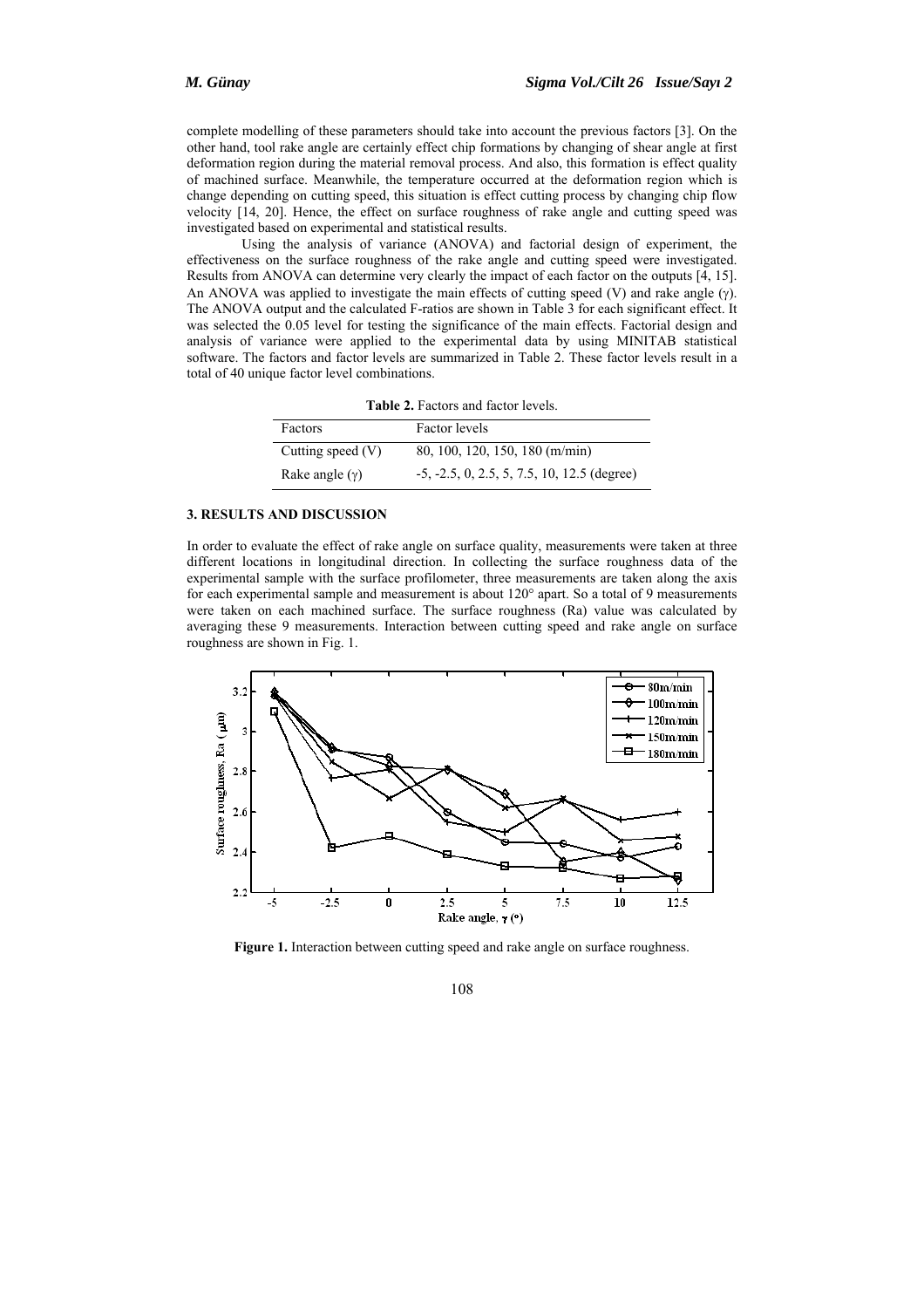complete modelling of these parameters should take into account the previous factors [3]. On the other hand, tool rake angle are certainly effect chip formations by changing of shear angle at first deformation region during the material removal process. And also, this formation is effect quality of machined surface. Meanwhile, the temperature occurred at the deformation region which is change depending on cutting speed, this situation is effect cutting process by changing chip flow velocity [14, 20]. Hence, the effect on surface roughness of rake angle and cutting speed was investigated based on experimental and statistical results.

Using the analysis of variance (ANOVA) and factorial design of experiment, the effectiveness on the surface roughness of the rake angle and cutting speed were investigated. Results from ANOVA can determine very clearly the impact of each factor on the outputs [4, 15]. An ANOVA was applied to investigate the main effects of cutting speed (V) and rake angle  $(\gamma)$ . The ANOVA output and the calculated F-ratios are shown in Table 3 for each significant effect. It was selected the 0.05 level for testing the significance of the main effects. Factorial design and analysis of variance were applied to the experimental data by using MINITAB statistical software. The factors and factor levels are summarized in Table 2. These factor levels result in a total of 40 unique factor level combinations.

| <b>Table 2.</b> Factors and factor levels. |  |  |
|--------------------------------------------|--|--|
|                                            |  |  |

| Factors             | <b>Factor</b> levels                          |
|---------------------|-----------------------------------------------|
| Cutting speed $(V)$ | 80, 100, 120, 150, 180 (m/min)                |
| Rake angle $(y)$    | $-5, -2.5, 0, 2.5, 5, 7.5, 10, 12.5$ (degree) |

#### **3. RESULTS AND DISCUSSION**

In order to evaluate the effect of rake angle on surface quality, measurements were taken at three different locations in longitudinal direction. In collecting the surface roughness data of the experimental sample with the surface profilometer, three measurements are taken along the axis for each experimental sample and measurement is about 120° apart. So a total of 9 measurements were taken on each machined surface. The surface roughness (Ra) value was calculated by averaging these 9 measurements. Interaction between cutting speed and rake angle on surface roughness are shown in Fig. 1.



Figure 1. Interaction between cutting speed and rake angle on surface roughness.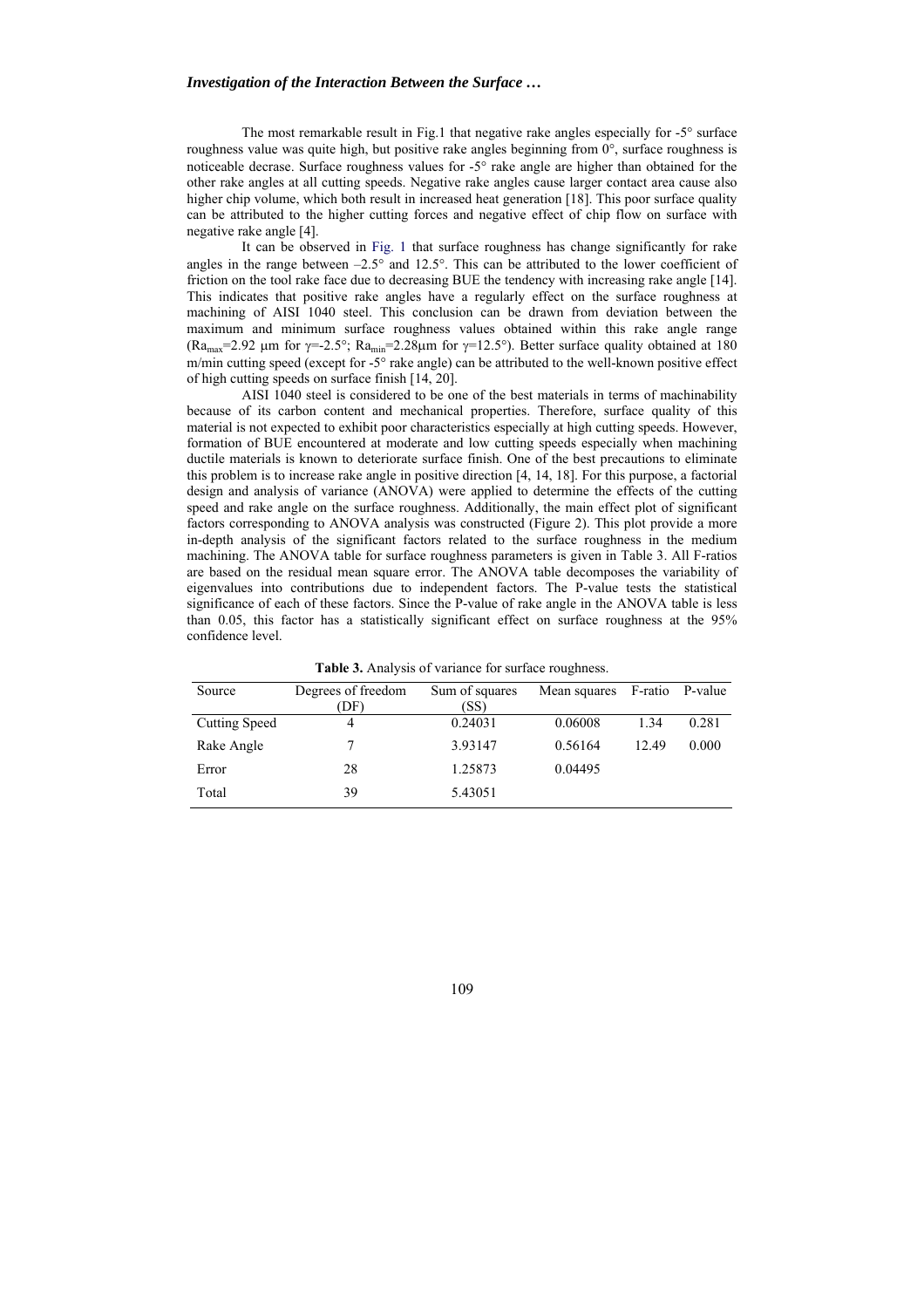#### *Investigation of the Interaction Between the Surface …*

The most remarkable result in Fig.1 that negative rake angles especially for -5° surface roughness value was quite high, but positive rake angles beginning from  $0^\circ$ , surface roughness is noticeable decrase. Surface roughness values for -5° rake angle are higher than obtained for the other rake angles at all cutting speeds. Negative rake angles cause larger contact area cause also higher chip volume, which both result in increased heat generation [18]. This poor surface quality can be attributed to the higher cutting forces and negative effect of chip flow on surface with negative rake angle [4].

It can be observed in Fig. 1 that surface roughness has change significantly for rake angles in the range between –2.5° and 12.5°. This can be attributed to the lower coefficient of friction on the tool rake face due to decreasing BUE the tendency with increasing rake angle [14]. This indicates that positive rake angles have a regularly effect on the surface roughness at machining of AISI 1040 steel. This conclusion can be drawn from deviation between the maximum and minimum surface roughness values obtained within this rake angle range (Ra<sub>max</sub>=2.92 µm for  $\gamma$ =-2.5°; Ra<sub>min</sub>=2.28µm for  $\gamma$ =12.5°). Better surface quality obtained at 180 m/min cutting speed (except for -5° rake angle) can be attributed to the well-known positive effect of high cutting speeds on surface finish [14, 20].

AISI 1040 steel is considered to be one of the best materials in terms of machinability because of its carbon content and mechanical properties. Therefore, surface quality of this material is not expected to exhibit poor characteristics especially at high cutting speeds. However, formation of BUE encountered at moderate and low cutting speeds especially when machining ductile materials is known to deteriorate surface finish. One of the best precautions to eliminate this problem is to increase rake angle in positive direction [4, 14, 18]. For this purpose, a factorial design and analysis of variance (ANOVA) were applied to determine the effects of the cutting speed and rake angle on the surface roughness. Additionally, the main effect plot of significant factors corresponding to ANOVA analysis was constructed (Figure 2). This plot provide a more in-depth analysis of the significant factors related to the surface roughness in the medium machining. The ANOVA table for surface roughness parameters is given in Table 3. All F-ratios are based on the residual mean square error. The ANOVA table decomposes the variability of eigenvalues into contributions due to independent factors. The P-value tests the statistical significance of each of these factors. Since the P-value of rake angle in the ANOVA table is less than 0.05, this factor has a statistically significant effect on surface roughness at the 95% confidence level.

| Source               | Degrees of freedom<br>(DF) | Sum of squares<br>(SS) | Mean squares |       | F-ratio P-value |
|----------------------|----------------------------|------------------------|--------------|-------|-----------------|
| <b>Cutting Speed</b> | 4                          | 0.24031                | 0.06008      | 1.34  | 0.281           |
| Rake Angle           |                            | 3.93147                | 0.56164      | 12.49 | 0.000           |
| Error                | 28                         | 1.25873                | 0.04495      |       |                 |
| Total                | 39                         | 5.43051                |              |       |                 |

**Table 3.** Analysis of variance for surface roughness.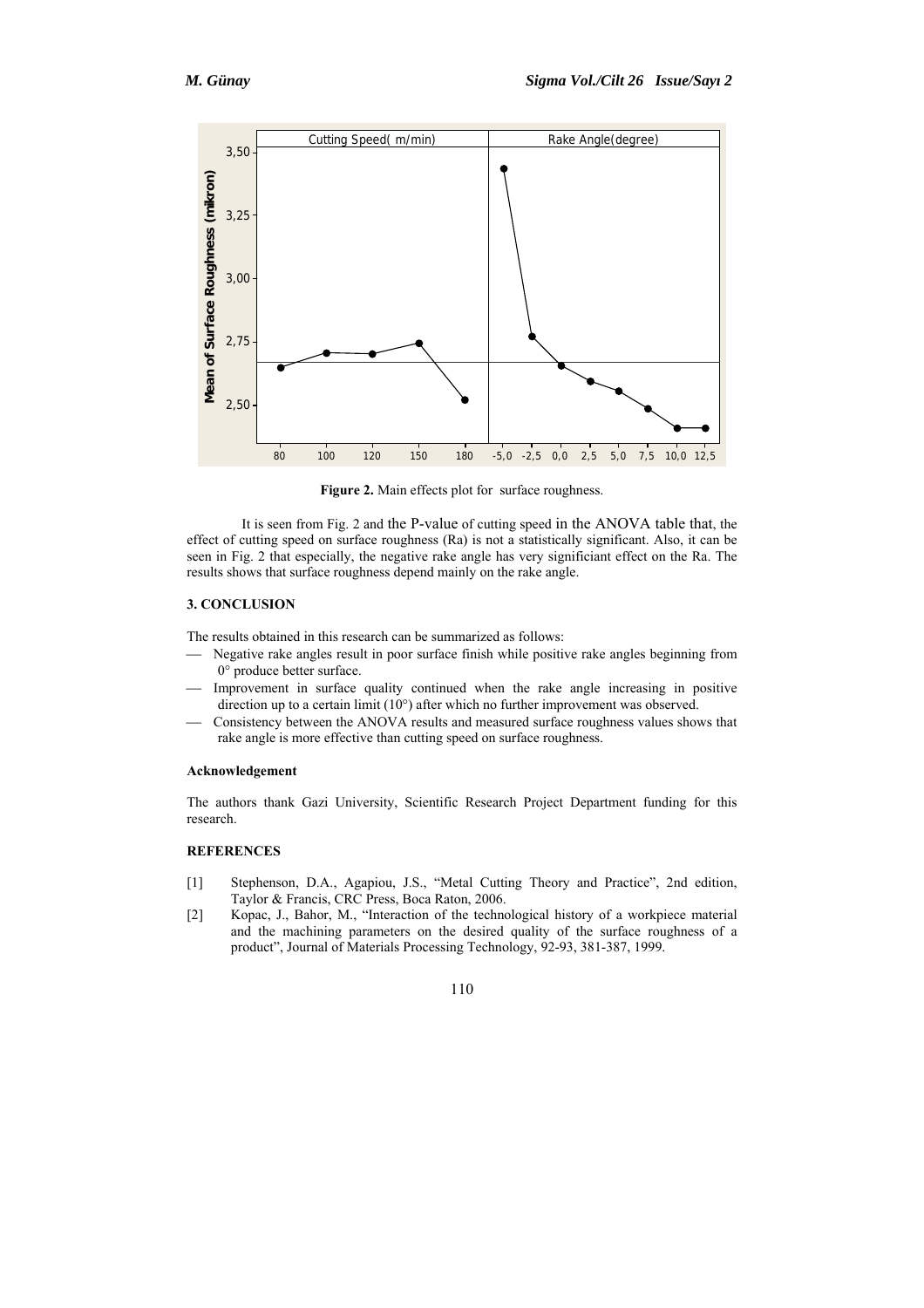

Figure 2. Main effects plot for surface roughness.

It is seen from Fig. 2 and the P-value of cutting speed in the ANOVA table that, the effect of cutting speed on surface roughness (Ra) is not a statistically significant. Also, it can be seen in Fig. 2 that especially, the negative rake angle has very significiant effect on the Ra. The results shows that surface roughness depend mainly on the rake angle.

## **3. CONCLUSION**

The results obtained in this research can be summarized as follows:

- Negative rake angles result in poor surface finish while positive rake angles beginning from 0° produce better surface.
- Improvement in surface quality continued when the rake angle increasing in positive direction up to a certain limit (10°) after which no further improvement was observed.
- Consistency between the ANOVA results and measured surface roughness values shows that rake angle is more effective than cutting speed on surface roughness.

## **Acknowledgement**

The authors thank Gazi University, Scientific Research Project Department funding for this research.

# **REFERENCES**

- [1] Stephenson, D.A., Agapiou, J.S., "Metal Cutting Theory and Practice", 2nd edition, Taylor & Francis, CRC Press, Boca Raton, 2006.
- [2] Kopac, J., Bahor, M., "Interaction of the technological history of a workpiece material and the machining parameters on the desired quality of the surface roughness of a product", Journal of Materials Processing Technology, 92-93, 381-387, 1999.